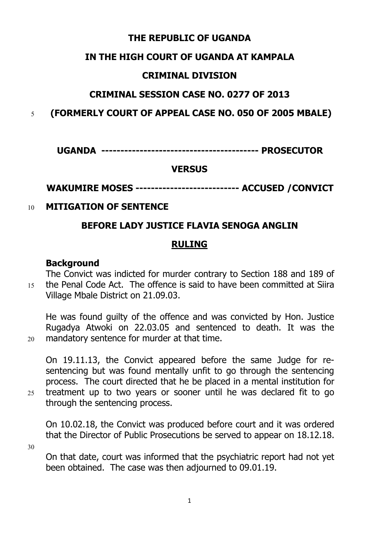#### **THE REPUBLIC OF UGANDA**

#### **IN THE HIGH COURT OF UGANDA AT KAMPALA**

#### **CRIMINAL DIVISION**

## **CRIMINAL SESSION CASE NO. 0277 OF 2013**

5 **(FORMERLY COURT OF APPEAL CASE NO. 050 OF 2005 MBALE)**

**UGANDA ----------------------------------------- PROSECUTOR**

## **VERSUS**

# **WAKUMIRE MOSES --------------------------- ACCUSED /CONVICT**

## 10 **MITIGATION OF SENTENCE**

# **BEFORE LADY JUSTICE FLAVIA SENOGA ANGLIN**

# **RULING**

## **Background**

The Convict was indicted for murder contrary to Section 188 and 189 of 15 the Penal Code Act. The offence is said to have been committed at Siira Village Mbale District on 21.09.03.

He was found guilty of the offence and was convicted by Hon. Justice Rugadya Atwoki on 22.03.05 and sentenced to death. It was the 20 mandatory sentence for murder at that time.

On 19.11.13, the Convict appeared before the same Judge for resentencing but was found mentally unfit to go through the sentencing process. The court directed that he be placed in a mental institution for 25 treatment up to two years or sooner until he was declared fit to go through the sentencing process.

On 10.02.18, the Convict was produced before court and it was ordered that the Director of Public Prosecutions be served to appear on 18.12.18. 30

On that date, court was informed that the psychiatric report had not yet been obtained. The case was then adjourned to 09.01.19.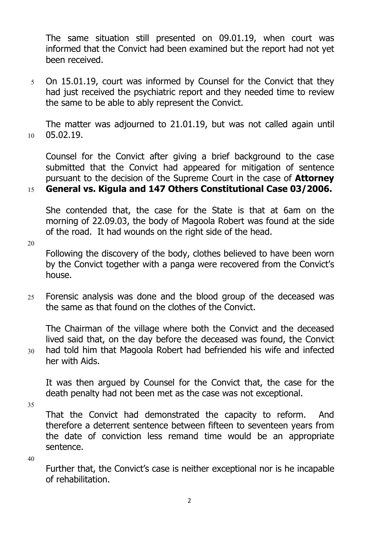The same situation still presented on 09.01.19, when court was informed that the Convict had been examined but the report had not yet been received.

5 On 15.01.19, court was informed by Counsel for the Convict that they had just received the psychiatric report and they needed time to review the same to be able to ably represent the Convict.

The matter was adjourned to 21.01.19, but was not called again until 10 05.02.19.

Counsel for the Convict after giving a brief background to the case submitted that the Convict had appeared for mitigation of sentence pursuant to the decision of the Supreme Court in the case of **Attorney**

## 15 **General vs. Kigula and 147 Others Constitutional Case 03/2006.**

She contended that, the case for the State is that at 6am on the morning of 22.09.03, the body of Magoola Robert was found at the side of the road. It had wounds on the right side of the head.

20

Following the discovery of the body, clothes believed to have been worn by the Convict together with a panga were recovered from the Convict's house.

25 Forensic analysis was done and the blood group of the deceased was the same as that found on the clothes of the Convict.

The Chairman of the village where both the Convict and the deceased lived said that, on the day before the deceased was found, the Convict 30 had told him that Magoola Robert had befriended his wife and infected her with Aids.

It was then argued by Counsel for the Convict that, the case for the death penalty had not been met as the case was not exceptional.

35

That the Convict had demonstrated the capacity to reform. And therefore a deterrent sentence between fifteen to seventeen years from the date of conviction less remand time would be an appropriate sentence.

40

Further that, the Convict's case is neither exceptional nor is he incapable of rehabilitation.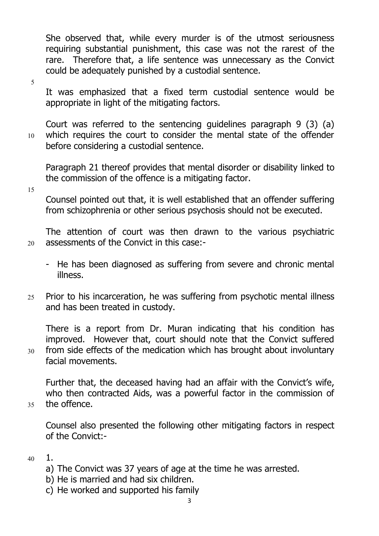She observed that, while every murder is of the utmost seriousness requiring substantial punishment, this case was not the rarest of the rare. Therefore that, a life sentence was unnecessary as the Convict could be adequately punished by a custodial sentence.

5

It was emphasized that a fixed term custodial sentence would be appropriate in light of the mitigating factors.

Court was referred to the sentencing guidelines paragraph 9 (3) (a) 10 which requires the court to consider the mental state of the offender before considering a custodial sentence.

Paragraph 21 thereof provides that mental disorder or disability linked to the commission of the offence is a mitigating factor.

15

Counsel pointed out that, it is well established that an offender suffering from schizophrenia or other serious psychosis should not be executed.

The attention of court was then drawn to the various psychiatric 20 assessments of the Convict in this case:-

- He has been diagnosed as suffering from severe and chronic mental illness.
- 25 Prior to his incarceration, he was suffering from psychotic mental illness and has been treated in custody.

There is a report from Dr. Muran indicating that his condition has improved. However that, court should note that the Convict suffered 30 from side effects of the medication which has brought about involuntary facial movements.

Further that, the deceased having had an affair with the Convict's wife, who then contracted Aids, was a powerful factor in the commission of

35 the offence.

Counsel also presented the following other mitigating factors in respect of the Convict:-

- 40 1.
	- a) The Convict was 37 years of age at the time he was arrested.
	- b) He is married and had six children.
	- c) He worked and supported his family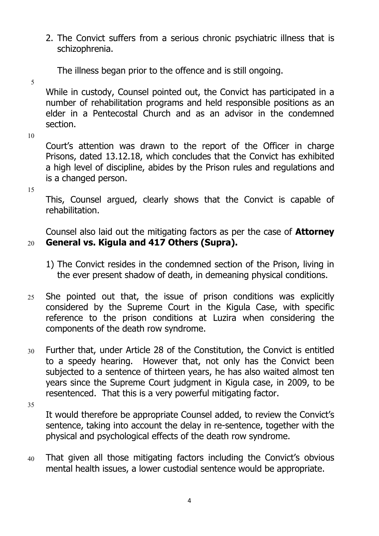- 2. The Convict suffers from a serious chronic psychiatric illness that is schizophrenia.
	- The illness began prior to the offence and is still ongoing.
- 

5 While in custody, Counsel pointed out, the Convict has participated in a number of rehabilitation programs and held responsible positions as an elder in a Pentecostal Church and as an advisor in the condemned section.

10

Court's attention was drawn to the report of the Officer in charge Prisons, dated 13.12.18, which concludes that the Convict has exhibited a high level of discipline, abides by the Prison rules and regulations and is a changed person.

15

This, Counsel argued, clearly shows that the Convict is capable of rehabilitation.

Counsel also laid out the mitigating factors as per the case of **Attorney** 20 **General vs. Kigula and 417 Others (Supra).**

- 1) The Convict resides in the condemned section of the Prison, living in the ever present shadow of death, in demeaning physical conditions.
- 25 She pointed out that, the issue of prison conditions was explicitly considered by the Supreme Court in the Kigula Case, with specific reference to the prison conditions at Luzira when considering the components of the death row syndrome.
- 30 Further that, under Article 28 of the Constitution, the Convict is entitled to a speedy hearing. However that, not only has the Convict been subjected to a sentence of thirteen years, he has also waited almost ten years since the Supreme Court judgment in Kigula case, in 2009, to be resentenced. That this is a very powerful mitigating factor.
- 35

It would therefore be appropriate Counsel added, to review the Convict's sentence, taking into account the delay in re-sentence, together with the physical and psychological effects of the death row syndrome.

40 That given all those mitigating factors including the Convict's obvious mental health issues, a lower custodial sentence would be appropriate.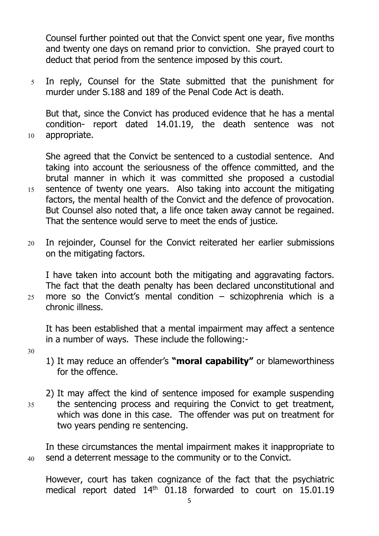Counsel further pointed out that the Convict spent one year, five months and twenty one days on remand prior to conviction. She prayed court to deduct that period from the sentence imposed by this court.

5 In reply, Counsel for the State submitted that the punishment for murder under S.188 and 189 of the Penal Code Act is death.

But that, since the Convict has produced evidence that he has a mental condition- report dated 14.01.19, the death sentence was not 10 appropriate.

She agreed that the Convict be sentenced to a custodial sentence. And taking into account the seriousness of the offence committed, and the brutal manner in which it was committed she proposed a custodial 15 sentence of twenty one years. Also taking into account the mitigating factors, the mental health of the Convict and the defence of provocation. But Counsel also noted that, a life once taken away cannot be regained. That the sentence would serve to meet the ends of justice.

20 In rejoinder, Counsel for the Convict reiterated her earlier submissions on the mitigating factors.

I have taken into account both the mitigating and aggravating factors. The fact that the death penalty has been declared unconstitutional and 25 more so the Convict's mental condition  $-$  schizophrenia which is a chronic illness.

It has been established that a mental impairment may affect a sentence in a number of ways. These include the following:-

- 30
- 1) It may reduce an offender's **"moral capability"** or blameworthiness for the offence.
- 2) It may affect the kind of sentence imposed for example suspending 35 the sentencing process and requiring the Convict to get treatment, which was done in this case. The offender was put on treatment for two years pending re sentencing.

In these circumstances the mental impairment makes it inappropriate to 40 send a deterrent message to the community or to the Convict.

However, court has taken cognizance of the fact that the psychiatric medical report dated 14<sup>th</sup> 01.18 forwarded to court on 15.01.19